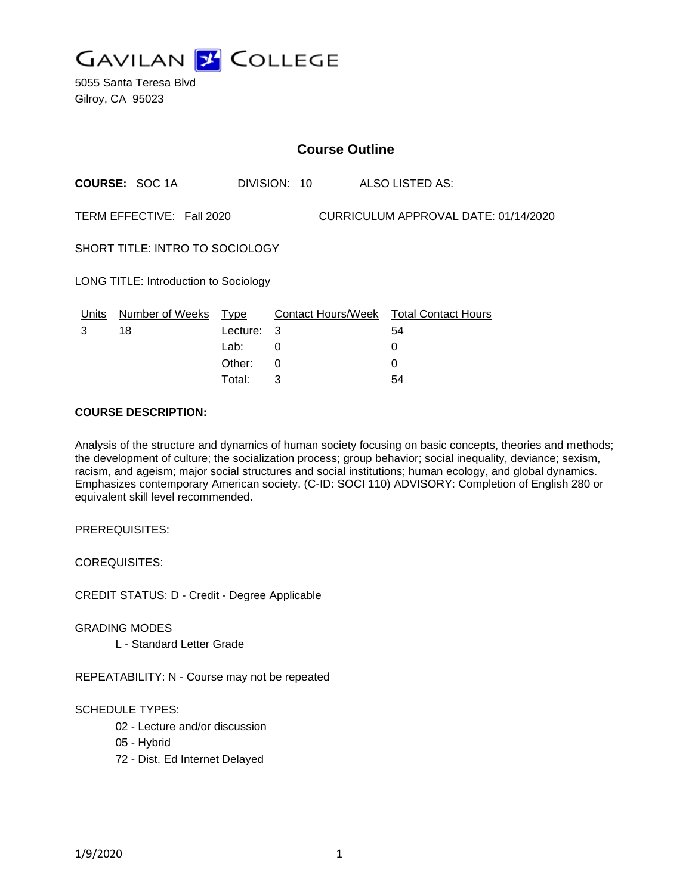

5055 Santa Teresa Blvd Gilroy, CA 95023

|                                 |                                                                   |          | <b>Course Outline</b> |                                        |  |
|---------------------------------|-------------------------------------------------------------------|----------|-----------------------|----------------------------------------|--|
|                                 | <b>COURSE: SOC 1A</b>                                             |          | DIVISION: 10          | ALSO LISTED AS:                        |  |
|                                 | CURRICULUM APPROVAL DATE: 01/14/2020<br>TERM EFFECTIVE: Fall 2020 |          |                       |                                        |  |
| SHORT TITLE: INTRO TO SOCIOLOGY |                                                                   |          |                       |                                        |  |
|                                 | LONG TITLE: Introduction to Sociology                             |          |                       |                                        |  |
| <u>Units</u>                    | Number of Weeks Type                                              |          |                       | Contact Hours/Week Total Contact Hours |  |
| 3                               | 18                                                                | Lecture: | 3                     | 54                                     |  |
|                                 |                                                                   | Lab:     | 0                     | 0                                      |  |
|                                 |                                                                   | Other:   | $\Omega$              | 0                                      |  |
|                                 |                                                                   | Total:   | 3                     | 54                                     |  |

## **COURSE DESCRIPTION:**

Analysis of the structure and dynamics of human society focusing on basic concepts, theories and methods; the development of culture; the socialization process; group behavior; social inequality, deviance; sexism, racism, and ageism; major social structures and social institutions; human ecology, and global dynamics. Emphasizes contemporary American society. (C-ID: SOCI 110) ADVISORY: Completion of English 280 or equivalent skill level recommended.

PREREQUISITES:

COREQUISITES:

CREDIT STATUS: D - Credit - Degree Applicable

GRADING MODES

L - Standard Letter Grade

REPEATABILITY: N - Course may not be repeated

SCHEDULE TYPES:

02 - Lecture and/or discussion

- 05 Hybrid
- 72 Dist. Ed Internet Delayed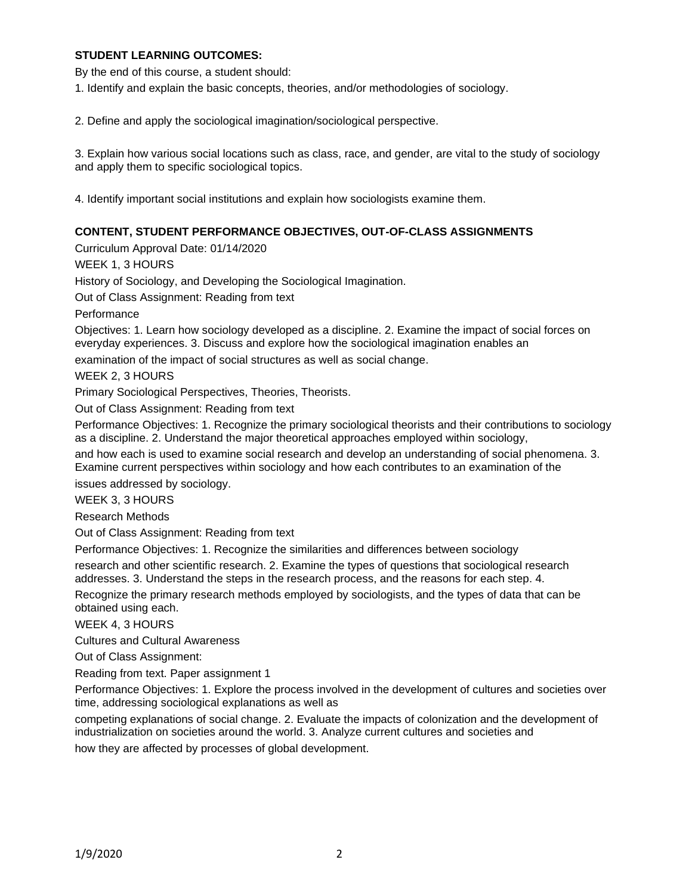# **STUDENT LEARNING OUTCOMES:**

By the end of this course, a student should:

1. Identify and explain the basic concepts, theories, and/or methodologies of sociology.

2. Define and apply the sociological imagination/sociological perspective.

3. Explain how various social locations such as class, race, and gender, are vital to the study of sociology and apply them to specific sociological topics.

4. Identify important social institutions and explain how sociologists examine them.

# **CONTENT, STUDENT PERFORMANCE OBJECTIVES, OUT-OF-CLASS ASSIGNMENTS**

Curriculum Approval Date: 01/14/2020

WEEK 1, 3 HOURS

History of Sociology, and Developing the Sociological Imagination.

Out of Class Assignment: Reading from text

Performance

Objectives: 1. Learn how sociology developed as a discipline. 2. Examine the impact of social forces on everyday experiences. 3. Discuss and explore how the sociological imagination enables an

examination of the impact of social structures as well as social change.

WEEK 2, 3 HOURS

Primary Sociological Perspectives, Theories, Theorists.

Out of Class Assignment: Reading from text

Performance Objectives: 1. Recognize the primary sociological theorists and their contributions to sociology as a discipline. 2. Understand the major theoretical approaches employed within sociology,

and how each is used to examine social research and develop an understanding of social phenomena. 3. Examine current perspectives within sociology and how each contributes to an examination of the

issues addressed by sociology.

WEEK 3, 3 HOURS

Research Methods

Out of Class Assignment: Reading from text

Performance Objectives: 1. Recognize the similarities and differences between sociology

research and other scientific research. 2. Examine the types of questions that sociological research addresses. 3. Understand the steps in the research process, and the reasons for each step. 4.

Recognize the primary research methods employed by sociologists, and the types of data that can be obtained using each.

WEEK 4, 3 HOURS

Cultures and Cultural Awareness

Out of Class Assignment:

Reading from text. Paper assignment 1

Performance Objectives: 1. Explore the process involved in the development of cultures and societies over time, addressing sociological explanations as well as

competing explanations of social change. 2. Evaluate the impacts of colonization and the development of industrialization on societies around the world. 3. Analyze current cultures and societies and

how they are affected by processes of global development.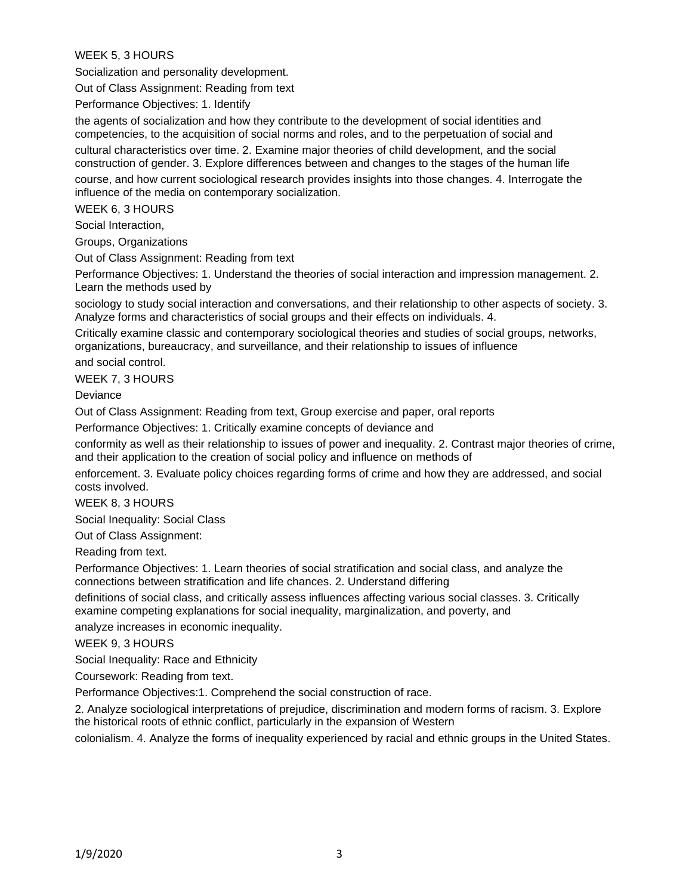WEEK 5, 3 HOURS

Socialization and personality development.

Out of Class Assignment: Reading from text

Performance Objectives: 1. Identify

the agents of socialization and how they contribute to the development of social identities and competencies, to the acquisition of social norms and roles, and to the perpetuation of social and cultural characteristics over time. 2. Examine major theories of child development, and the social construction of gender. 3. Explore differences between and changes to the stages of the human life

course, and how current sociological research provides insights into those changes. 4. Interrogate the influence of the media on contemporary socialization.

WEEK 6, 3 HOURS

Social Interaction,

Groups, Organizations

Out of Class Assignment: Reading from text

Performance Objectives: 1. Understand the theories of social interaction and impression management. 2. Learn the methods used by

sociology to study social interaction and conversations, and their relationship to other aspects of society. 3. Analyze forms and characteristics of social groups and their effects on individuals. 4.

Critically examine classic and contemporary sociological theories and studies of social groups, networks, organizations, bureaucracy, and surveillance, and their relationship to issues of influence

and social control.

WEEK 7, 3 HOURS

**Deviance** 

Out of Class Assignment: Reading from text, Group exercise and paper, oral reports

Performance Objectives: 1. Critically examine concepts of deviance and

conformity as well as their relationship to issues of power and inequality. 2. Contrast major theories of crime, and their application to the creation of social policy and influence on methods of

enforcement. 3. Evaluate policy choices regarding forms of crime and how they are addressed, and social costs involved.

WEEK 8, 3 HOURS

Social Inequality: Social Class

Out of Class Assignment:

Reading from text.

Performance Objectives: 1. Learn theories of social stratification and social class, and analyze the connections between stratification and life chances. 2. Understand differing

definitions of social class, and critically assess influences affecting various social classes. 3. Critically examine competing explanations for social inequality, marginalization, and poverty, and

analyze increases in economic inequality.

WEEK 9, 3 HOURS

Social Inequality: Race and Ethnicity

Coursework: Reading from text.

Performance Objectives:1. Comprehend the social construction of race.

2. Analyze sociological interpretations of prejudice, discrimination and modern forms of racism. 3. Explore the historical roots of ethnic conflict, particularly in the expansion of Western

colonialism. 4. Analyze the forms of inequality experienced by racial and ethnic groups in the United States.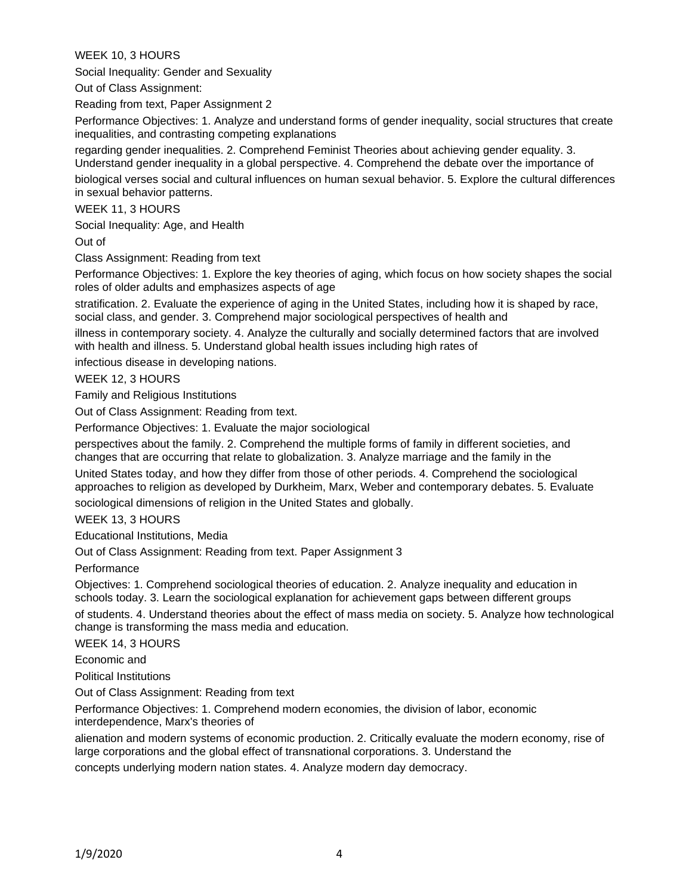WEEK 10, 3 HOURS

Social Inequality: Gender and Sexuality

Out of Class Assignment:

Reading from text, Paper Assignment 2

Performance Objectives: 1. Analyze and understand forms of gender inequality, social structures that create inequalities, and contrasting competing explanations

regarding gender inequalities. 2. Comprehend Feminist Theories about achieving gender equality. 3. Understand gender inequality in a global perspective. 4. Comprehend the debate over the importance of

biological verses social and cultural influences on human sexual behavior. 5. Explore the cultural differences in sexual behavior patterns.

WEEK 11, 3 HOURS

Social Inequality: Age, and Health

Out of

Class Assignment: Reading from text

Performance Objectives: 1. Explore the key theories of aging, which focus on how society shapes the social roles of older adults and emphasizes aspects of age

stratification. 2. Evaluate the experience of aging in the United States, including how it is shaped by race, social class, and gender. 3. Comprehend major sociological perspectives of health and

illness in contemporary society. 4. Analyze the culturally and socially determined factors that are involved with health and illness. 5. Understand global health issues including high rates of

infectious disease in developing nations.

WEEK 12, 3 HOURS

Family and Religious Institutions

Out of Class Assignment: Reading from text.

Performance Objectives: 1. Evaluate the major sociological

perspectives about the family. 2. Comprehend the multiple forms of family in different societies, and changes that are occurring that relate to globalization. 3. Analyze marriage and the family in the

United States today, and how they differ from those of other periods. 4. Comprehend the sociological approaches to religion as developed by Durkheim, Marx, Weber and contemporary debates. 5. Evaluate

sociological dimensions of religion in the United States and globally.

WEEK 13, 3 HOURS

Educational Institutions, Media

Out of Class Assignment: Reading from text. Paper Assignment 3

**Performance** 

Objectives: 1. Comprehend sociological theories of education. 2. Analyze inequality and education in schools today. 3. Learn the sociological explanation for achievement gaps between different groups

of students. 4. Understand theories about the effect of mass media on society. 5. Analyze how technological change is transforming the mass media and education.

WEEK 14, 3 HOURS

Economic and

Political Institutions

Out of Class Assignment: Reading from text

Performance Objectives: 1. Comprehend modern economies, the division of labor, economic interdependence, Marx's theories of

alienation and modern systems of economic production. 2. Critically evaluate the modern economy, rise of large corporations and the global effect of transnational corporations. 3. Understand the concepts underlying modern nation states. 4. Analyze modern day democracy.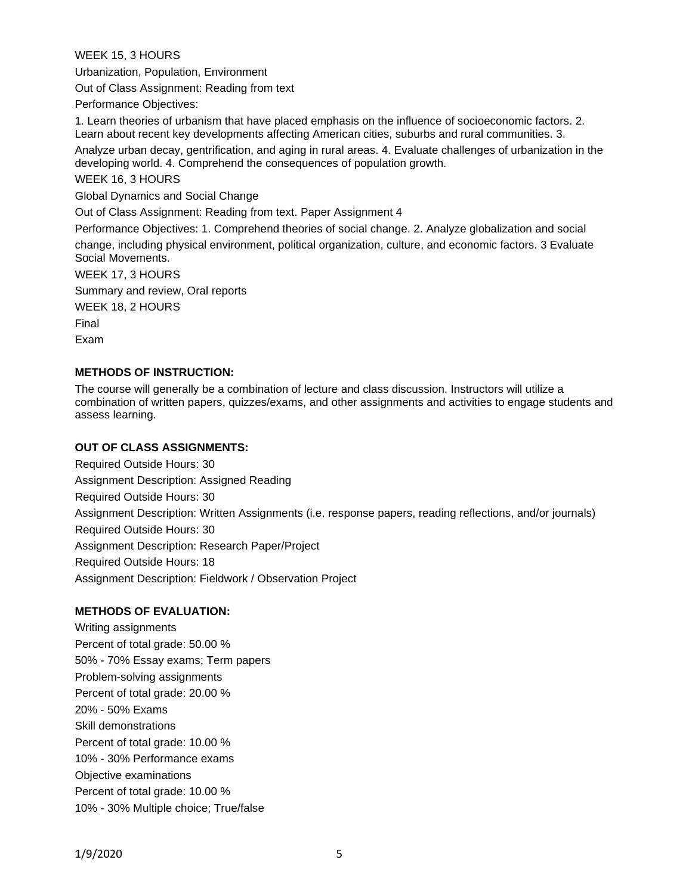WEEK 15, 3 HOURS

Urbanization, Population, Environment

Out of Class Assignment: Reading from text

Performance Objectives:

1. Learn theories of urbanism that have placed emphasis on the influence of socioeconomic factors. 2. Learn about recent key developments affecting American cities, suburbs and rural communities. 3.

Analyze urban decay, gentrification, and aging in rural areas. 4. Evaluate challenges of urbanization in the developing world. 4. Comprehend the consequences of population growth.

WEEK 16, 3 HOURS

Global Dynamics and Social Change

Out of Class Assignment: Reading from text. Paper Assignment 4

Performance Objectives: 1. Comprehend theories of social change. 2. Analyze globalization and social change, including physical environment, political organization, culture, and economic factors. 3 Evaluate Social Movements.

WEEK 17, 3 HOURS

Summary and review, Oral reports

WEEK 18, 2 HOURS

Final

Exam

# **METHODS OF INSTRUCTION:**

The course will generally be a combination of lecture and class discussion. Instructors will utilize a combination of written papers, quizzes/exams, and other assignments and activities to engage students and assess learning.

## **OUT OF CLASS ASSIGNMENTS:**

Required Outside Hours: 30 Assignment Description: Assigned Reading Required Outside Hours: 30 Assignment Description: Written Assignments (i.e. response papers, reading reflections, and/or journals) Required Outside Hours: 30 Assignment Description: Research Paper/Project Required Outside Hours: 18 Assignment Description: Fieldwork / Observation Project

# **METHODS OF EVALUATION:**

Writing assignments Percent of total grade: 50.00 % 50% - 70% Essay exams; Term papers Problem-solving assignments Percent of total grade: 20.00 % 20% - 50% Exams Skill demonstrations Percent of total grade: 10.00 % 10% - 30% Performance exams Objective examinations Percent of total grade: 10.00 % 10% - 30% Multiple choice; True/false